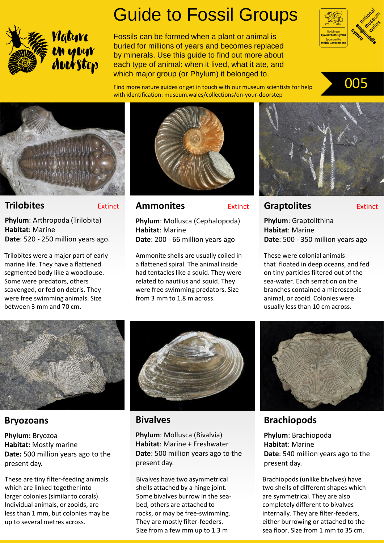

# Guide to Fossil Groups

Fossils can be formed when a plant or animal is buried for millions of years and becomes replaced by minerals. Use this guide to find out more about each type of animal: when it lived, what it ate, and which major group (or Phylum) it belonged to.



Find more nature guides or get in touch with our museum scientists for help **005** with identification: museum.wales/collections/on-your-doorstep





#### **Trilobites** Extinct

**Phylum**: Arthropoda (Trilobita) **Habitat**: Marine **Date**: 520 - 250 million years ago.

Trilobites were a major part of early marine life. They have a flattened segmented body like a woodlouse. Some were predators, others scavenged, or fed on debris. They were free swimming animals. Size between 3 mm and 70 cm.



#### **Ammonites** Extinct

**Phylum**: Mollusca (Cephalopoda) **Habitat**: Marine **Date**: 200 - 66 million years ago

Ammonite shells are usually coiled in a flattened spiral. The animal inside had tentacles like a squid. They were related to nautilus and squid. They were free swimming predators. Size from 3 mm to 1.8 m across.



#### **Graptolites** Extinct

**Phylum**: Graptolithina **Habitat**: Marine **Date**: 500 - 350 million years ago

These were colonial animals that floated in deep oceans, and fed on tiny particles filtered out of the sea-water. Each serration on the branches contained a microscopic animal, or zooid. Colonies were usually less than 10 cm across.



### **Bryozoans**

**Phylum:** Bryozoa **Habitat:** Mostly marine **Date:** 500 million years ago to the present day.

These are tiny filter-feeding animals which are linked together into larger colonies (similar to corals). Individual animals, or zooids, are less than 1 mm, but colonies may be up to several metres across.



#### **Bivalves**

**Phylum**: Mollusca (Bivalvia) **Habitat**: Marine + Freshwater **Date**: 500 million years ago to the present day.

Bivalves have two asymmetrical shells attached by a hinge joint. Some bivalves burrow in the seabed, others are attached to rocks, or may be free-swimming. They are mostly filter-feeders. Size from a few mm up to 1.3 m



## **Brachiopods**

**Phylum**: Brachiopoda **Habitat**: Marine **Date**: 540 million years ago to the present day.

Brachiopods (unlike bivalves) have two shells of different shapes which are symmetrical. They are also completely different to bivalves internally. They are filter-feeders, either burrowing or attached to the sea floor. Size from 1 mm to 35 cm.